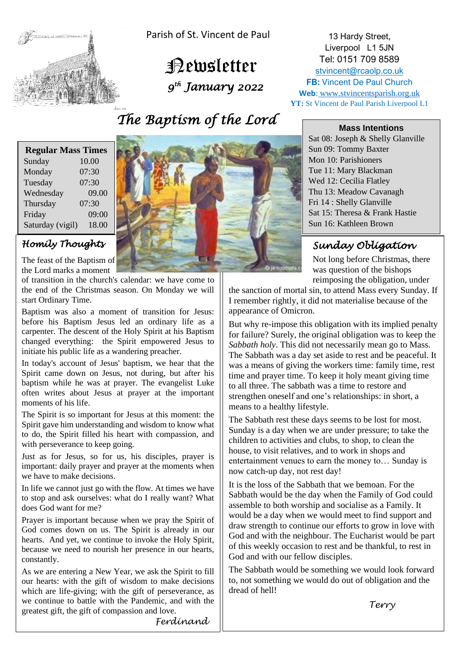

Parish of St. Vincent de Paul

 Newsletter  *9 th January 2022* 

# *The Baptism of the Lord*

| <b>Regular Mass Times</b> |       |
|---------------------------|-------|
| Sunday                    | 10.00 |
| Monday                    | 07:30 |
| Tuesday                   | 07:30 |
| Wednesday                 | 09.00 |
| Thursday                  | 07:30 |
| Friday                    | 09:00 |
| Saturday (vigil)          | 18.00 |

## *Homily Thoughts*

The feast of the Baptism of the Lord marks a moment

of transition in the church's calendar: we have come to the end of the Christmas season. On Monday we will start Ordinary Time.

Baptism was also a moment of transition for Jesus: before his Baptism Jesus led an ordinary life as a carpenter. The descent of the Holy Spirit at his Baptism changed everything: the Spirit empowered Jesus to initiate his public life as a wandering preacher.

In today's account of Jesus' baptism, we hear that the Spirit came down on Jesus, not during, but after his baptism while he was at prayer. The evangelist Luke often writes about Jesus at prayer at the important moments of his life.

The Spirit is so important for Jesus at this moment: the Spirit gave him understanding and wisdom to know what to do, the Spirit filled his heart with compassion, and with perseverance to keep going.

Just as for Jesus, so for us, his disciples, prayer is important: daily prayer and prayer at the moments when we have to make decisions.

In life we cannot just go with the flow. At times we have to stop and ask ourselves: what do I really want? What does God want for me?

Prayer is important because when we pray the Spirit of God comes down on us. The Spirit is already in our hearts. And yet, we continue to invoke the Holy Spirit, because we need to nourish her presence in our hearts, constantly.

As we are entering a New Year, we ask the Spirit to fill our hearts: with the gift of wisdom to make decisions which are life-giving; with the gift of perseverance, as we continue to battle with the Pandemic, and with the greatest gift, the gift of compassion and love.



13 Hardy Street, Liverpool L1 5JN Tel: 0151 709 8589 [stvincent@rcaolp.co.uk](mailto:stvincent@rcaolp.co.uk) **FB: Vincent De Paul Church Web**: www.stvincentsparish.org.uk **YT:** St Vincent de Paul Parish Liverpool L1

#### **Mass Intentions**

Sat 08: Joseph & Shelly Glanville Sun 09: Tommy Baxter Mon 10: Parishioners Tue 11: Mary Blackman Wed 12: Cecilia Flatley Thu 13: Meadow Cavanagh Fri 14 : Shelly Glanville Sat 15: Theresa & Frank Hastie Sun 16: Kathleen Brown

## *Sunday Obligation*

Not long before Christmas, there was question of the bishops reimposing the obligation, under

the sanction of mortal sin, to attend Mass every Sunday. If I remember rightly, it did not materialise because of the appearance of Omicron.

But why re-impose this obligation with its implied penalty for failure? Surely, the original obligation was to keep the *Sabbath holy*. This did not necessarily mean go to Mass. The Sabbath was a day set aside to rest and be peaceful. It was a means of giving the workers time: family time, rest time and prayer time. To keep it holy meant giving time to all three. The sabbath was a time to restore and strengthen oneself and one's relationships: in short, a means to a healthy lifestyle.

The Sabbath rest these days seems to be lost for most. Sunday is a day when we are under pressure; to take the children to activities and clubs, to shop, to clean the house, to visit relatives, and to work in shops and entertainment venues to earn the money to… Sunday is now catch-up day, not rest day!

It is the loss of the Sabbath that we bemoan. For the Sabbath would be the day when the Family of God could assemble to both worship and socialise as a Family. It would be a day when we would meet to find support and draw strength to continue our efforts to grow in love with God and with the neighbour. The Eucharist would be part of this weekly occasion to rest and be thankful, to rest in God and with our fellow disciples.

The Sabbath would be something we would look forward to, not something we would do out of obligation and the dread of hell!

 *Terry*

*Ferdinand*